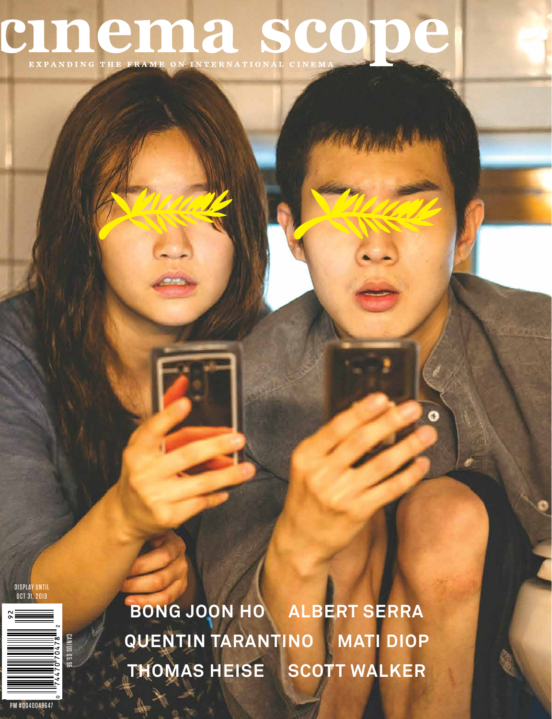# CINCINA SCODE

DISPLAY UNTIL OCT 31, 2019



**BONG JOON HO ALBERT SERRA QUENTIN TARANTINO MATI DIOP THOMAS HEISE SCOTT WALKER**

Ð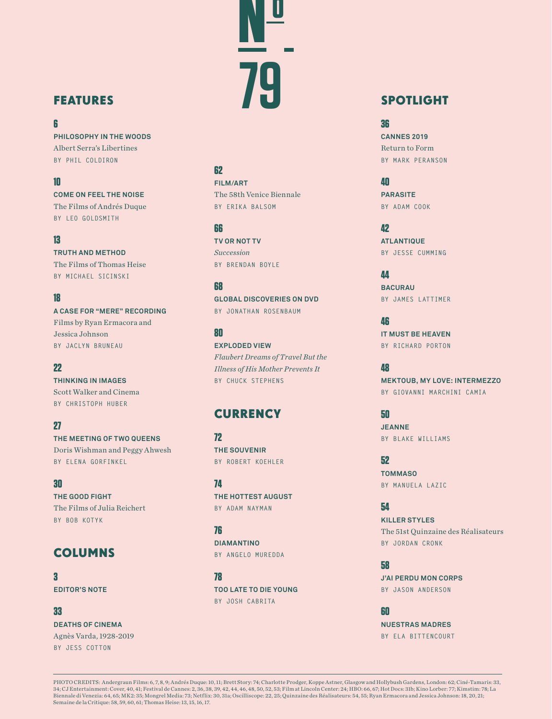# FEATURES

#### **6**

**PHILOSOPHY IN THE WOODS** Albert Serra's Libertines **BY PHIL COLDIRON**

#### **10**

**COME ON FEEL THE NOISE** The Films of Andrés Duque **BY LEO GOLDSMITH**

#### **13**

**TRUTH AND METHOD** The Films of Thomas Heise **BY MICHAEL SICINSKI**

#### **18**

**A CASE FOR "MERE" RECORDING** Films by Ryan Ermacora and Jessica Johnson **BY JACLYN BRUNEAU**

#### **22**

**THINKING IN IMAGES** Scott Walker and Cinema **BY CHRISTOPH HUBER**

#### **27**

**THE MEETING OF TWO QUEENS** Doris Wishman and Peggy Ahwesh **BY ELENA GORFINKEL**

#### **30**

**THE GOOD FIGHT** The Films of Julia Reichert **BY BOB KOTYK**

# COLUMNS

**3 EDITOR'S NOTE**

**33 DEATHS OF CINEMA** Agnès Varda, 1928-2019 **BY JESS COTTON**

#### **62**

**FILM/ART** The 58th Venice Biennale **BY ERIKA BALSOM**

**No**

#### **66**

**TV OR NOT TV** *Succession* **BY BRENDAN BOYLE**

#### **68**

**GLOBAL DISCOVERIES ON DVD BY JONATHAN ROSENBAUM**

**80**

**EXPLODED VIEW** *Flaubert Dreams of Travel But the Illness of His Mother Prevents It*  **BY CHUCK STEPHENS**

## **CURRENCY**

**72 THE SOUVENIR BY ROBERT KOEHLER**

**74 THE HOTTEST AUGUST BY ADAM NAYMAN**

**76 DIAMANTINO BY ANGELO MUREDDA**

**78 TOO LATE TO DIE YOUNG BY JOSH CABRITA**

# **79** SPOTLIGHT

#### **36**

**CANNES 2019** Return to Form **BY MARK PERANSON**

**40 PARASITE BY ADAM COOK**

**42 ATLANTIQUE BY JESSE CUMMING**

**44 BACURAU BY JAMES LATTIMER**

**46 IT MUST BE HEAVEN BY RICHARD PORTON**

#### **48**

**MEKTOUB, MY LOVE: INTERMEZZO BY GIOVANNI MARCHINI CAMIA**

**50**

**JEANNE BY BLAKE WILLIAMS**

**52 TOMMASO BY MANUELA LAZIC**

### **54**

**KILLER STYLES** The 51st Quinzaine des Réalisateurs **BY JORDAN CRONK**

**58 J'AI PERDU MON CORPS BY JASON ANDERSON**

**60 NUESTRAS MADRES BY ELA BITTENCOURT**

PHOTO CREDITS: Andergraun Films: 6, 7, 8, 9; Andrés Duque: 10, 11; Brett Story: 74; Charlotte Prodger, Koppe Astner, Glasgow and Hollybush Gardens, London: 62; Ciné-Tamaris: 33, 34; CJ Entertainment: Cover, 40, 41; Festival de Cannes: 2, 36, 38, 39, 42, 44, 46, 48, 50, 52, 53; Film at Lincoln Center: 24; HBO: 66, 67; Hot Docs: 31b; Kino Lorber: 77; Kimstim: 78; La<br>Biennale di Venezia: 64, 65; MK2: Semaine de la Critique: 58, 59, 60, 61; Thomas Heise: 13, 15, 16, 17.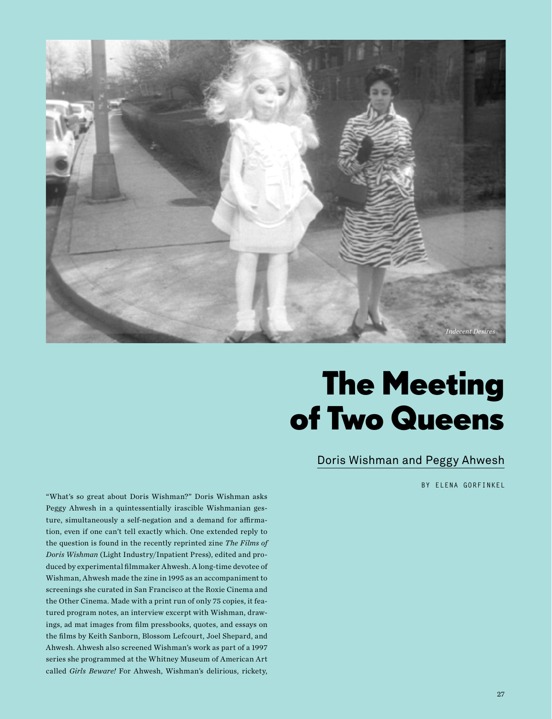

# The Meeting of Two Queens

## Doris Wishman and Peggy Ahwesh

**BY ELENA GORFINKEL**

"What's so great about Doris Wishman?" Doris Wishman asks Peggy Ahwesh in a quintessentially irascible Wishmanian gesture, simultaneously a self-negation and a demand for affirmation, even if one can't tell exactly which. One extended reply to the question is found in the recently reprinted zine *The Films of Doris Wishman* (Light Industry/Inpatient Press), edited and produced by experimental filmmaker Ahwesh. A long-time devotee of Wishman, Ahwesh made the zine in 1995 as an accompaniment to screenings she curated in San Francisco at the Roxie Cinema and the Other Cinema. Made with a print run of only 75 copies, it featured program notes, an interview excerpt with Wishman, drawings, ad mat images from film pressbooks, quotes, and essays on the films by Keith Sanborn, Blossom Lefcourt, Joel Shepard, and Ahwesh. Ahwesh also screened Wishman's work as part of a 1997 series she programmed at the Whitney Museum of American Art called *Girls Beware!* For Ahwesh, Wishman's delirious, rickety,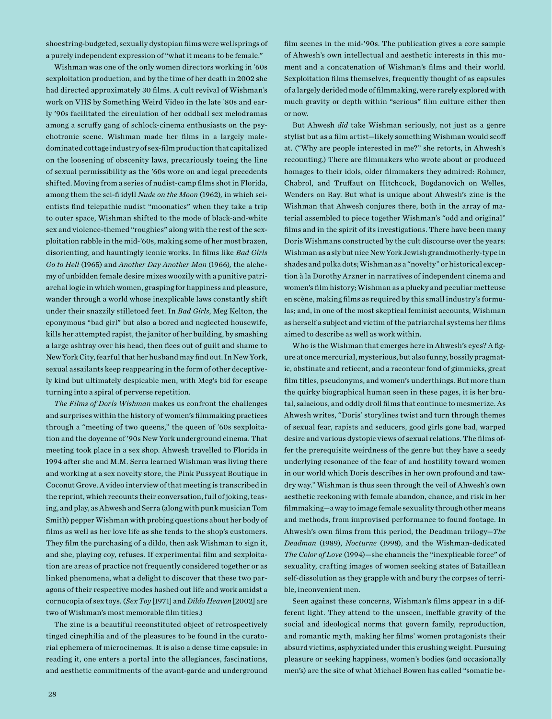shoestring-budgeted, sexually dystopian films were wellsprings of a purely independent expression of "what it means to be female."

Wishman was one of the only women directors working in '60s sexploitation production, and by the time of her death in 2002 she had directed approximately 30 films. A cult revival of Wishman's work on VHS by Something Weird Video in the late '80s and early '90s facilitated the circulation of her oddball sex melodramas among a scruffy gang of schlock-cinema enthusiasts on the psychotronic scene. Wishman made her films in a largely maledominated cottage industry of sex-film production that capitalized on the loosening of obscenity laws, precariously toeing the line of sexual permissibility as the '60s wore on and legal precedents shifted. Moving from a series of nudist-camp films shot in Florida, among them the sci-fi idyll *Nude on the Moon* (1962)*,* in which scientists find telepathic nudist "moonatics" when they take a trip to outer space, Wishman shifted to the mode of black-and-white sex and violence-themed "roughies" along with the rest of the sexploitation rabble in the mid-'60s, making some of her most brazen, disorienting, and hauntingly iconic works. In films like *Bad Girls Go to Hell* (1965) and *Another Day Another Man* (1966)*,* the alchemy of unbidden female desire mixes woozily with a punitive patriarchal logic in which women, grasping for happiness and pleasure, wander through a world whose inexplicable laws constantly shift under their snazzily stilletoed feet. In *Bad Girls*, Meg Kelton, the eponymous "bad girl" but also a bored and neglected housewife, kills her attempted rapist, the janitor of her building, by smashing a large ashtray over his head, then flees out of guilt and shame to New York City, fearful that her husband may find out. In New York, sexual assailants keep reappearing in the form of other deceptively kind but ultimately despicable men, with Meg's bid for escape turning into a spiral of perverse repetition.

*The Films of Doris Wishman* makes us confront the challenges and surprises within the history of women's filmmaking practices through a "meeting of two queens," the queen of '60s sexploitation and the doyenne of '90s New York underground cinema. That meeting took place in a sex shop. Ahwesh travelled to Florida in 1994 after she and M.M. Serra learned Wishman was living there and working at a sex novelty store, the Pink Pussycat Boutique in Coconut Grove. A video interview of that meeting is transcribed in the reprint, which recounts their conversation, full of joking, teasing, and play, as Ahwesh and Serra (along with punk musician Tom Smith) pepper Wishman with probing questions about her body of films as well as her love life as she tends to the shop's customers. They film the purchasing of a dildo, then ask Wishman to sign it, and she, playing coy, refuses. If experimental film and sexploitation are areas of practice not frequently considered together or as linked phenomena, what a delight to discover that these two paragons of their respective modes hashed out life and work amidst a cornucopia of sex toys. (*Sex Toy* [1971] and *Dildo Heaven* [2002] are two of Wishman's most memorable film titles.)

The zine is a beautiful reconstituted object of retrospectively tinged cinephilia and of the pleasures to be found in the curatorial ephemera of microcinemas. It is also a dense time capsule: in reading it, one enters a portal into the allegiances, fascinations, and aesthetic commitments of the avant-garde and underground

film scenes in the mid-'90s. The publication gives a core sample of Ahwesh's own intellectual and aesthetic interests in this moment and a concatenation of Wishman's films and their world. Sexploitation films themselves, frequently thought of as capsules of a largely derided mode of filmmaking, were rarely explored with much gravity or depth within "serious" film culture either then or now.

But Ahwesh *did* take Wishman seriously, not just as a genre stylist but as a film artist—likely something Wishman would scoff at. ("Why are people interested in me?" she retorts, in Ahwesh's recounting.) There are filmmakers who wrote about or produced homages to their idols, older filmmakers they admired: Rohmer, Chabrol, and Truffaut on Hitchcock, Bogdanovich on Welles, Wenders on Ray. But what is unique about Ahwesh's zine is the Wishman that Ahwesh conjures there, both in the array of material assembled to piece together Wishman's "odd and original" films and in the spirit of its investigations. There have been many Doris Wishmans constructed by the cult discourse over the years: Wishman as a sly but nice New York Jewish grandmotherly-type in shades and polka dots; Wishman as a "novelty" or historical exception à la Dorothy Arzner in narratives of independent cinema and women's film history; Wishman as a plucky and peculiar metteuse en scène, making films as required by this small industry's formulas; and, in one of the most skeptical feminist accounts, Wishman as herself a subject and victim of the patriarchal systems her films aimed to describe as well as work within.

Who is the Wishman that emerges here in Ahwesh's eyes? A figure at once mercurial, mysterious, but also funny, bossily pragmatic, obstinate and reticent, and a raconteur fond of gimmicks, great film titles, pseudonyms, and women's underthings. But more than the quirky biographical human seen in these pages, it is her brutal, salacious, and oddly droll films that continue to mesmerize. As Ahwesh writes, "Doris' storylines twist and turn through themes of sexual fear, rapists and seducers, good girls gone bad, warped desire and various dystopic views of sexual relations. The films offer the prerequisite weirdness of the genre but they have a seedy underlying resonance of the fear of and hostility toward women in our world which Doris describes in her own profound and tawdry way." Wishman is thus seen through the veil of Ahwesh's own aesthetic reckoning with female abandon, chance, and risk in her filmmaking—a way to image female sexuality through other means and methods, from improvised performance to found footage. In Ahwesh's own films from this period, the Deadman trilogy—*The Deadman* (1989), *Nocturne* (1998), and the Wishman-dedicated *The Color of Love* (1994)*—*she channels the "inexplicable force" of sexuality, crafting images of women seeking states of Bataillean self-dissolution as they grapple with and bury the corpses of terrible, inconvenient men.

Seen against these concerns, Wishman's films appear in a different light. They attend to the unseen, ineffable gravity of the social and ideological norms that govern family, reproduction, and romantic myth, making her films' women protagonists their absurd victims, asphyxiated under this crushing weight. Pursuing pleasure or seeking happiness, women's bodies (and occasionally men's) are the site of what Michael Bowen has called "somatic be